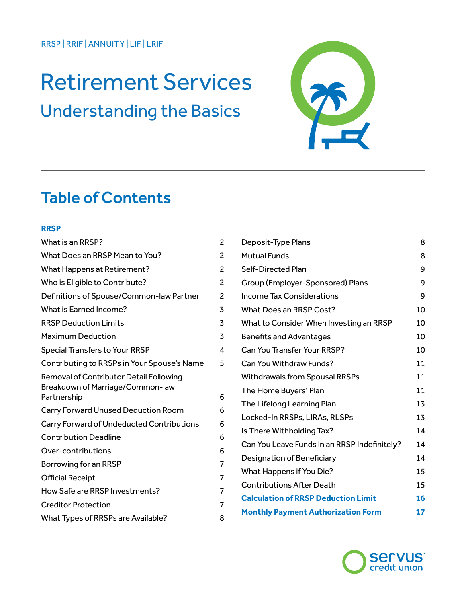# Retirement Services Understanding the Basics



# Table of Contents

#### **RRSP**

| What is an RRSP?                                                            | 2              |
|-----------------------------------------------------------------------------|----------------|
| What Does an RRSP Mean to You?                                              | $\overline{c}$ |
| What Happens at Retirement?                                                 | 2              |
| Who is Eligible to Contribute?                                              | 2              |
| Definitions of Spouse/Common-law Partner                                    | $\overline{c}$ |
| What is Earned Income?                                                      | 3              |
| <b>RRSP Deduction Limits</b>                                                | 3              |
| <b>Maximum Deduction</b>                                                    | 3              |
| <b>Special Transfers to Your RRSP</b>                                       | 4              |
| Contributing to RRSPs in Your Spouse's Name                                 | 5              |
| Removal of Contributor Detail Following<br>Breakdown of Marriage/Common-law |                |
| Partnership                                                                 | 6              |
| Carry Forward Unused Deduction Room                                         | 6              |
| Carry Forward of Undeducted Contributions                                   | 6              |
| <b>Contribution Deadline</b>                                                | 6              |
| Over-contributions                                                          | 6              |
| Borrowing for an RRSP                                                       | 7              |
| <b>Official Receipt</b>                                                     | 7              |
| How Safe are RRSP Investments?                                              | 7              |
| <b>Creditor Protection</b>                                                  | 7              |
| What Types of RRSPs are Available?                                          | 8              |

| Deposit-Type Plans                           | 8  |
|----------------------------------------------|----|
| <b>Mutual Funds</b>                          | 8  |
| Self-Directed Plan                           | 9  |
| Group (Employer-Sponsored) Plans             | 9  |
| Income Tax Considerations                    | 9  |
| <b>What Does an RRSP Cost?</b>               | 10 |
| What to Consider When Investing an RRSP      | 10 |
| <b>Benefits and Advantages</b>               | 10 |
| Can You Transfer Your RRSP?                  | 10 |
| Can You Withdraw Funds?                      | 11 |
| <b>Withdrawals from Spousal RRSPs</b>        | 11 |
| The Home Buyers' Plan                        | 11 |
| The Lifelong Learning Plan                   | 13 |
| Locked-In RRSPs, LIRAs, RLSPs                | 13 |
| Is There Withholding Tax?                    | 14 |
| Can You Leave Funds in an RRSP Indefinitely? | 14 |
| Designation of Beneficiary                   | 14 |
| What Happens if You Die?                     | 15 |
| <b>Contributions After Death</b>             | 15 |
| <b>Calculation of RRSP Deduction Limit</b>   | 16 |
| <b>Monthly Payment Authorization Form</b>    | 17 |

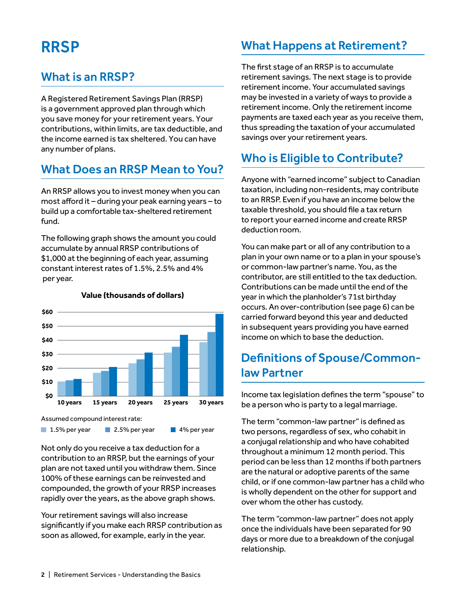# RRSP

### What is an RRSP?

A Registered Retirement Savings Plan (RRSP) is a government approved plan through which you save money for your retirement years. Your contributions, within limits, are tax deductible, and the income earned is tax sheltered. You can have any number of plans.

### What Does an RRSP Mean to You?

An RRSP allows you to invest money when you can most afford it – during your peak earning years – to build up a comfortable tax-sheltered retirement fund.

The following graph shows the amount you could accumulate by annual RRSP contributions of \$1,000 at the beginning of each year, assuming constant interest rates of 1.5%, 2.5% and 4% per year.



#### **Value (thousands of dollars)**

Assumed compound interest rate:

1.5% per year 2.5% per year 4% per year

Not only do you receive a tax deduction for a contribution to an RRSP, but the earnings of your plan are not taxed until you withdraw them. Since 100% of these earnings can be reinvested and compounded, the growth of your RRSP increases rapidly over the years, as the above graph shows.

Your retirement savings will also increase significantly if you make each RRSP contribution as soon as allowed, for example, early in the year.

### What Happens at Retirement?

The first stage of an RRSP is to accumulate retirement savings. The next stage is to provide retirement income. Your accumulated savings may be invested in a variety of ways to provide a retirement income. Only the retirement income payments are taxed each year as you receive them, thus spreading the taxation of your accumulated savings over your retirement years.

### Who is Eligible to Contribute?

Anyone with "earned income" subject to Canadian taxation, including non-residents, may contribute to an RRSP. Even if you have an income below the taxable threshold, you should file a tax return to report your earned income and create RRSP deduction room.

You can make part or all of any contribution to a plan in your own name or to a plan in your spouse's or common-law partner's name. You, as the contributor, are still entitled to the tax deduction. Contributions can be made until the end of the year in which the planholder's 71st birthday occurs. An over-contribution (see page 6) can be carried forward beyond this year and deducted in subsequent years providing you have earned income on which to base the deduction.

### Definitions of Spouse/Commonlaw Partner

Income tax legislation defines the term "spouse" to be a person who is party to a legal marriage.

The term "common-law partner" is defined as two persons, regardless of sex, who cohabit in a conjugal relationship and who have cohabited throughout a minimum 12 month period. This period can be less than 12 months if both partners are the natural or adoptive parents of the same child, or if one common-law partner has a child who is wholly dependent on the other for support and over whom the other has custody.

The term "common-law partner" does not apply once the individuals have been separated for 90 days or more due to a breakdown of the conjugal relationship.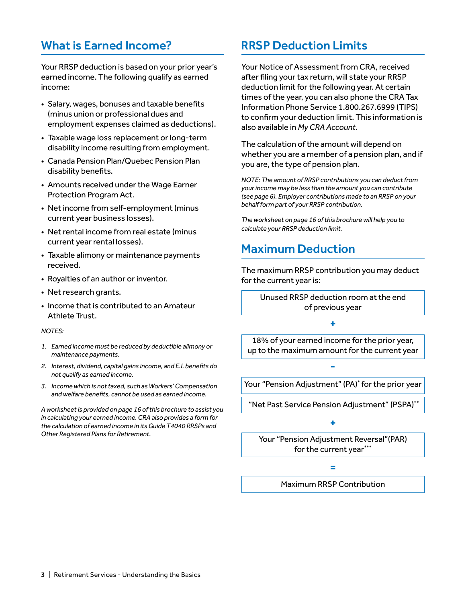### What is Earned Income?

Your RRSP deduction is based on your prior year's earned income. The following qualify as earned income:

- Salary, wages, bonuses and taxable benefits (minus union or professional dues and employment expenses claimed as deductions).
- Taxable wage loss replacement or long-term disability income resulting from employment.
- Canada Pension Plan/Quebec Pension Plan disability benefits.
- Amounts received under the Wage Earner Protection Program Act.
- Net income from self-employment (minus current year business losses).
- Net rental income from real estate (minus current year rental losses).
- Taxable alimony or maintenance payments received.
- Royalties of an author or inventor.
- Net research grants.
- Income that is contributed to an Amateur Athlete Trust.

#### *NOTES:*

- *1. Earned income must be reduced by deductible alimony or maintenance payments.*
- *2. Interest, dividend, capital gains income, and E.I. benefits do not qualify as earned income.*
- *3. Income which is not taxed, such as Workers' Compensation and welfare benefits, cannot be used as earned income.*

*A worksheet is provided on page 16 of this brochure to assist you in calculating your earned income. CRA also provides a form for the calculation of earned income in its Guide T4040 RRSPs and Other Registered Plans for Retirement.*

### RRSP Deduction Limits

Your Notice of Assessment from CRA, received after filing your tax return, will state your RRSP deduction limit for the following year. At certain times of the year, you can also phone the CRA Tax Information Phone Service 1.800.267.6999 (TIPS) to confirm your deduction limit. This information is also available in *My CRA Account*.

The calculation of the amount will depend on whether you are a member of a pension plan, and if you are, the type of pension plan.

*NOTE: The amount of RRSP contributions you can deduct from your income may be less than the amount you can contribute (see page 6). Employer contributions made to an RRSP on your behalf form part of your RRSP contribution.*

*The worksheet on page 16 of this brochure will help you to calculate your RRSP deduction limit.*

### Maximum Deduction

The maximum RRSP contribution you may deduct for the current year is:

> Unused RRSP deduction room at the end of previous year

> > **+**

18% of your earned income for the prior year, up to the maximum amount for the current year

Your "Pension Adjustment" (PA)\* for the prior year

**-**

"Net Past Service Pension Adjustment" (PSPA)\*\*

**+**

Your "Pension Adjustment Reversal"(PAR) for the current year\*\*\*

**=**

Maximum RRSP Contribution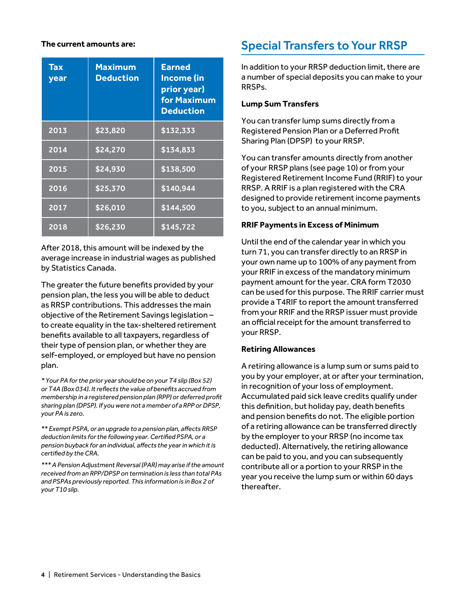#### **The current amounts are:**

| Tax<br>year | <b>Maximum</b><br><b>Deduction</b> | <b>Earned</b><br><b>Income (in</b><br>prior year)<br><b>for Maximum</b><br><b>Deduction</b> |
|-------------|------------------------------------|---------------------------------------------------------------------------------------------|
| 2013        | \$23,820                           | \$132,333                                                                                   |
| 2014        | \$24,270                           | \$134,833                                                                                   |
| 2015        | \$24,930                           | \$138,500                                                                                   |
| 2016        | \$25,370                           | \$140,944                                                                                   |
| 2017        | \$26,010                           | \$144,500                                                                                   |
| 2018        | \$26,230                           | \$145,722                                                                                   |

After 2018, this amount will be indexed by the average increase in industrial wages as published by Statistics Canada.

The greater the future benefits provided by your pension plan, the less you will be able to deduct as RRSP contributions. This addresses the main objective of the Retirement Savings legislation – to create equality in the tax-sheltered retirement benefits available to all taxpayers, regardless of their type of pension plan, or whether they are self-employed, or employed but have no pension plan.

*\* Your PA for the prior year should be on your T4 slip (Box 52) or T4A (Box 034). It reflects the value of benefits accrued from membership in a registered pension plan (RPP) or deferred profit sharing plan (DPSP). If you were not a member of a RPP or DPSP, your PA is zero.* 

*\*\* Exempt PSPA, or an upgrade to a pension plan, affects RRSP deduction limits for the following year. Certified PSPA, or a pension buyback for an individual, affects the year in which it is certified by the CRA.*

*\*\*\* A Pension Adjustment Reversal (PAR) may arise if the amount received from an RPP/DPSP on termination is less than total PAs and PSPAs previously reported. This information is in Box 2 of your T10 slip.*

### Special Transfers to Your RRSP

In addition to your RRSP deduction limit, there are a number of special deposits you can make to your RRSPs.

#### **Lump Sum Transfers**

You can transfer lump sums directly from a Registered Pension Plan or a Deferred Profit Sharing Plan (DPSP) to your RRSP.

You can transfer amounts directly from another of your RRSP plans (see page 10) or from your Registered Retirement Income Fund (RRIF) to your RRSP. A RRIF is a plan registered with the CRA designed to provide retirement income payments to you, subject to an annual minimum.

#### **RRIF Payments in Excess of Minimum**

Until the end of the calendar year in which you turn 71, you can transfer directly to an RRSP in your own name up to 100% of any payment from your RRIF in excess of the mandatory minimum payment amount for the year. CRA form T2030 can be used for this purpose. The RRIF carrier must provide a T4RIF to report the amount transferred from your RRIF and the RRSP issuer must provide an official receipt for the amount transferred to your RRSP.

#### **Retiring Allowances**

A retiring allowance is a lump sum or sums paid to you by your employer, at or after your termination, in recognition of your loss of employment. Accumulated paid sick leave credits qualify under this definition, but holiday pay, death benefits and pension benefits do not. The eligible portion of a retiring allowance can be transferred directly by the employer to your RRSP (no income tax deducted). Alternatively, the retiring allowance can be paid to you, and you can subsequently contribute all or a portion to your RRSP in the year you receive the lump sum or within 60 days thereafter.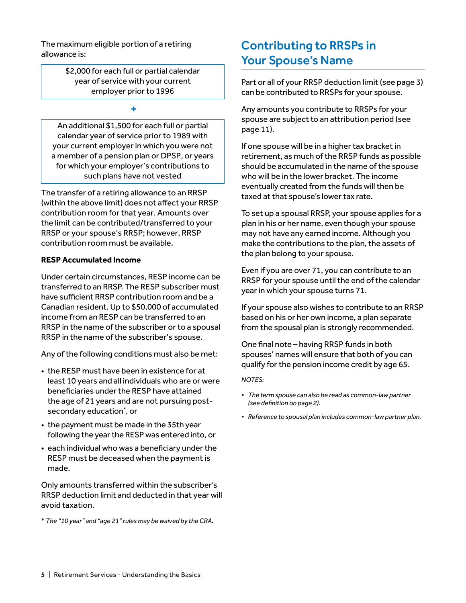The maximum eligible portion of a retiring allowance is:

> \$2,000 for each full or partial calendar year of service with your current employer prior to 1996

> > **+**

An additional \$1,500 for each full or partial calendar year of service prior to 1989 with your current employer in which you were not a member of a pension plan or DPSP, or years for which your employer's contributions to such plans have not vested

The transfer of a retiring allowance to an RRSP (within the above limit) does not affect your RRSP contribution room for that year. Amounts over the limit can be contributed/transferred to your RRSP or your spouse's RRSP; however, RRSP contribution room must be available.

#### **RESP Accumulated Income**

Under certain circumstances, RESP income can be transferred to an RRSP. The RESP subscriber must have sufficient RRSP contribution room and be a Canadian resident. Up to \$50,000 of accumulated income from an RESP can be transferred to an RRSP in the name of the subscriber or to a spousal RRSP in the name of the subscriber's spouse.

Any of the following conditions must also be met:

- the RESP must have been in existence for at least 10 years and all individuals who are or were beneficiaries under the RESP have attained the age of 21 years and are not pursuing postsecondary education\* , or
- the payment must be made in the 35th year following the year the RESP was entered into, or
- each individual who was a beneficiary under the RESP must be deceased when the payment is made.

Only amounts transferred within the subscriber's RRSP deduction limit and deducted in that year will avoid taxation.

\* *The "10 year" and "age 21" rules may be waived by the CRA.*

### Contributing to RRSPs in Your Spouse's Name

Part or all of your RRSP deduction limit (see page 3) can be contributed to RRSPs for your spouse.

Any amounts you contribute to RRSPs for your spouse are subject to an attribution period (see page 11).

If one spouse will be in a higher tax bracket in retirement, as much of the RRSP funds as possible should be accumulated in the name of the spouse who will be in the lower bracket. The income eventually created from the funds will then be taxed at that spouse's lower tax rate.

To set up a spousal RRSP, your spouse applies for a plan in his or her name, even though your spouse may not have any earned income. Although you make the contributions to the plan, the assets of the plan belong to your spouse.

Even if you are over 71, you can contribute to an RRSP for your spouse until the end of the calendar year in which your spouse turns 71.

If your spouse also wishes to contribute to an RRSP based on his or her own income, a plan separate from the spousal plan is strongly recommended.

One final note – having RRSP funds in both spouses' names will ensure that both of you can qualify for the pension income credit by age 65.

*NOTES:* 

- *• The term spouse can also be read as common-law partner (see definition on page 2).*
- *• Reference to spousal plan includes common-law partner plan.*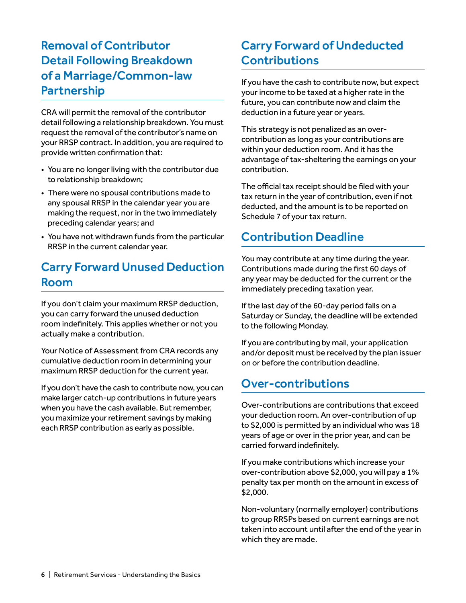### Removal of Contributor Detail Following Breakdown of a Marriage/Common-law Partnership

CRA will permit the removal of the contributor detail following a relationship breakdown. You must request the removal of the contributor's name on your RRSP contract. In addition, you are required to provide written confirmation that:

- You are no longer living with the contributor due to relationship breakdown;
- There were no spousal contributions made to any spousal RRSP in the calendar year you are making the request, nor in the two immediately preceding calendar years; and
- You have not withdrawn funds from the particular RRSP in the current calendar year.

### Carry Forward Unused Deduction Room

If you don't claim your maximum RRSP deduction, you can carry forward the unused deduction room indefinitely. This applies whether or not you actually make a contribution.

Your Notice of Assessment from CRA records any cumulative deduction room in determining your maximum RRSP deduction for the current year.

If you don't have the cash to contribute now, you can make larger catch-up contributions in future years when you have the cash available. But remember, you maximize your retirement savings by making each RRSP contribution as early as possible.

### Carry Forward of Undeducted **Contributions**

If you have the cash to contribute now, but expect your income to be taxed at a higher rate in the future, you can contribute now and claim the deduction in a future year or years.

This strategy is not penalized as an overcontribution as long as your contributions are within your deduction room. And it has the advantage of tax-sheltering the earnings on your contribution.

The official tax receipt should be filed with your tax return in the year of contribution, even if not deducted, and the amount is to be reported on Schedule 7 of your tax return.

### Contribution Deadline

You may contribute at any time during the year. Contributions made during the first 60 days of any year may be deducted for the current or the immediately preceding taxation year.

If the last day of the 60-day period falls on a Saturday or Sunday, the deadline will be extended to the following Monday.

If you are contributing by mail, your application and/or deposit must be received by the plan issuer on or before the contribution deadline.

### Over-contributions

Over-contributions are contributions that exceed your deduction room. An over-contribution of up to \$2,000 is permitted by an individual who was 18 years of age or over in the prior year, and can be carried forward indefinitely.

If you make contributions which increase your over-contribution above \$2,000, you will pay a 1% penalty tax per month on the amount in excess of \$2,000.

Non-voluntary (normally employer) contributions to group RRSPs based on current earnings are not taken into account until after the end of the year in which they are made.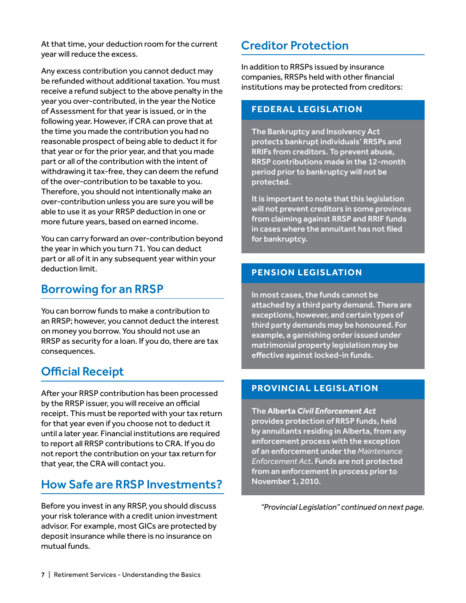At that time, your deduction room for the current year will reduce the excess.

Any excess contribution you cannot deduct may be refunded without additional taxation. You must receive a refund subject to the above penalty in the year you over-contributed, in the year the Notice of Assessment for that year is issued, or in the following year. However, if CRA can prove that at the time you made the contribution you had no reasonable prospect of being able to deduct it for that year or for the prior year, and that you made part or all of the contribution with the intent of withdrawing it tax-free, they can deem the refund of the over-contribution to be taxable to you. Therefore, you should not intentionally make an over-contribution unless you are sure you will be able to use it as your RRSP deduction in one or more future years, based on earned income.

You can carry forward an over-contribution beyond the year in which you turn 71. You can deduct part or all of it in any subsequent year within your deduction limit.

#### Borrowing for an RRSP

You can borrow funds to make a contribution to an RRSP; however, you cannot deduct the interest on money you borrow. You should not use an RRSP as security for a loan. If you do, there are tax consequences.

### Official Receipt

After your RRSP contribution has been processed by the RRSP issuer, you will receive an official receipt. This must be reported with your tax return for that year even if you choose not to deduct it until a later year. Financial institutions are required to report all RRSP contributions to CRA. If you do not report the contribution on your tax return for that year, the CRA will contact you.

### How Safe are RRSP Investments?

Before you invest in any RRSP, you should discuss your risk tolerance with a credit union investment advisor. For example, most GICs are protected by deposit insurance while there is no insurance on mutual funds.

#### Creditor Protection

In addition to RRSPs issued by insurance companies, RRSPs held with other financial institutions may be protected from creditors:

#### **FEDERAL LEGISL ATION**

The Bankruptcy and Insolvency Act protects bankrupt individuals' RRSPs and RRIFs from creditors. To prevent abuse, RRSP contributions made in the 12-month period prior to bankruptcy will not be protected.

It is important to note that this legislation will not prevent creditors in some provinces from claiming against RRSP and RRIF funds in cases where the annuitant has not filed for bankruptcy.

#### **PENSION LEGISL ATION**

In most cases, the funds cannot be attached by a third party demand. There are exceptions, however, and certain types of third party demands may be honoured. For example, a garnishing order issued under matrimonial property legislation may be effective against locked-in funds.

#### **PROVINCIAL LEGISLATION**

The **Alberta** *Civil Enforcement Act* provides protection of RRSP funds, held by annuitants residing in Alberta, from any enforcement process with the exception of an enforcement under the *Maintenance Enforcement Act*. Funds are not protected from an enforcement in process prior to November 1, 2010.

*"Provincial Legislation" continued on next page.*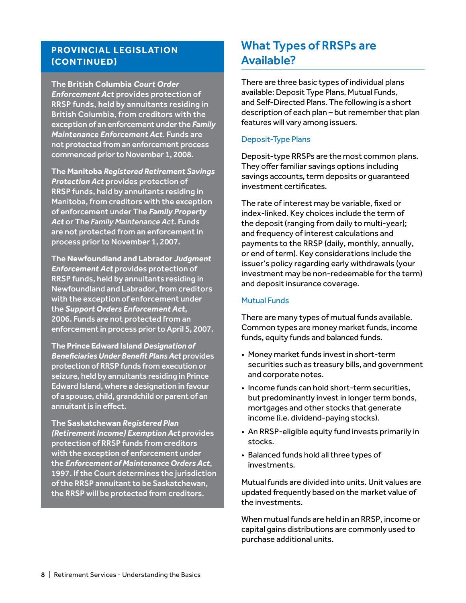#### **PROVINCIAL LEGISLATION (CONTINUED)**

The **British Columbia** *Court Order Enforcement Act* provides protection of RRSP funds, held by annuitants residing in British Columbia, from creditors with the exception of an enforcement under the *Family Maintenance Enforcement Act*. Funds are not protected from an enforcement process commenced prior to November 1, 2008.

The **Manitoba** *Registered Retirement Savings Protection Act* provides protection of RRSP funds, held by annuitants residing in Manitoba, from creditors with the exception of enforcement under The *Family Property Act* or The *Family Maintenance Act*. Funds are not protected from an enforcement in process prior to November 1, 2007.

The **Newfoundland and Labrador** *Judgment Enforcement Act* provides protection of RRSP funds, held by annuitants residing in Newfoundland and Labrador, from creditors with the exception of enforcement under the *Support Orders Enforcement Act*, 2006. Funds are not protected from an enforcement in process prior to April 5, 2007.

The **Prince Edward Island** *Designation of Beneficiaries Under Benefit Plans Act* provides protection of RRSP funds from execution or seizure, held by annuitants residing in Prince Edward Island, where a designation in favour of a spouse, child, grandchild or parent of an annuitant is in effect.

The **Saskatchewan** *Registered Plan (Retirement Income) Exemption Act* provides protection of RRSP funds from creditors with the exception of enforcement under the *Enforcement of Maintenance Orders Act*, 1997. If the Court determines the jurisdiction of the RRSP annuitant to be Saskatchewan, the RRSP will be protected from creditors.

### What Types of RRSPs are Available?

There are three basic types of individual plans available: Deposit Type Plans, Mutual Funds, and Self-Directed Plans. The following is a short description of each plan – but remember that plan features will vary among issuers.

#### Deposit-Type Plans

Deposit-type RRSPs are the most common plans. They offer familiar savings options including savings accounts, term deposits or guaranteed investment certificates.

The rate of interest may be variable, fixed or index-linked. Key choices include the term of the deposit (ranging from daily to multi-year); and frequency of interest calculations and payments to the RRSP (daily, monthly, annually, or end of term). Key considerations include the issuer's policy regarding early withdrawals (your investment may be non-redeemable for the term) and deposit insurance coverage.

#### Mutual Funds

There are many types of mutual funds available. Common types are money market funds, income funds, equity funds and balanced funds.

- Money market funds invest in short-term securities such as treasury bills, and government and corporate notes.
- Income funds can hold short-term securities, but predominantly invest in longer term bonds, mortgages and other stocks that generate income (i.e. dividend-paying stocks).
- An RRSP-eligible equity fund invests primarily in stocks.
- Balanced funds hold all three types of investments.

Mutual funds are divided into units. Unit values are updated frequently based on the market value of the investments.

When mutual funds are held in an RRSP, income or capital gains distributions are commonly used to purchase additional units.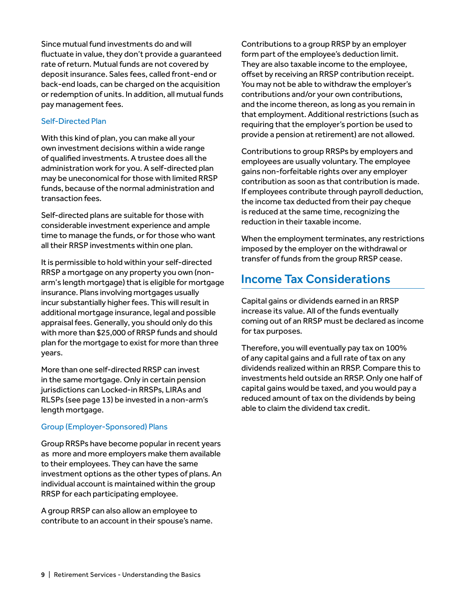Since mutual fund investments do and will fluctuate in value, they don't provide a guaranteed rate of return. Mutual funds are not covered by deposit insurance. Sales fees, called front-end or back-end loads, can be charged on the acquisition or redemption of units. In addition, all mutual funds pay management fees.

#### Self-Directed Plan

With this kind of plan, you can make all your own investment decisions within a wide range of qualified investments. A trustee does all the administration work for you. A self-directed plan may be uneconomical for those with limited RRSP funds, because of the normal administration and transaction fees.

Self-directed plans are suitable for those with considerable investment experience and ample time to manage the funds, or for those who want all their RRSP investments within one plan.

It is permissible to hold within your self-directed RRSP a mortgage on any property you own (nonarm's length mortgage) that is eligible for mortgage insurance. Plans involving mortgages usually incur substantially higher fees. This will result in additional mortgage insurance, legal and possible appraisal fees. Generally, you should only do this with more than \$25,000 of RRSP funds and should plan for the mortgage to exist for more than three years.

More than one self-directed RRSP can invest in the same mortgage. Only in certain pension jurisdictions can Locked-in RRSPs, LIRAs and RLSPs (see page 13) be invested in a non-arm's length mortgage.

#### Group (Employer-Sponsored) Plans

Group RRSPs have become popular in recent years as more and more employers make them available to their employees. They can have the same investment options as the other types of plans. An individual account is maintained within the group RRSP for each participating employee.

A group RRSP can also allow an employee to contribute to an account in their spouse's name.

Contributions to a group RRSP by an employer form part of the employee's deduction limit. They are also taxable income to the employee, offset by receiving an RRSP contribution receipt. You may not be able to withdraw the employer's contributions and/or your own contributions, and the income thereon, as long as you remain in that employment. Additional restrictions (such as requiring that the employer's portion be used to provide a pension at retirement) are not allowed.

Contributions to group RRSPs by employers and employees are usually voluntary. The employee gains non-forfeitable rights over any employer contribution as soon as that contribution is made. If employees contribute through payroll deduction, the income tax deducted from their pay cheque is reduced at the same time, recognizing the reduction in their taxable income.

When the employment terminates, any restrictions imposed by the employer on the withdrawal or transfer of funds from the group RRSP cease.

### Income Tax Considerations

Capital gains or dividends earned in an RRSP increase its value. All of the funds eventually coming out of an RRSP must be declared as income for tax purposes.

Therefore, you will eventually pay tax on 100% of any capital gains and a full rate of tax on any dividends realized within an RRSP. Compare this to investments held outside an RRSP. Only one half of capital gains would be taxed, and you would pay a reduced amount of tax on the dividends by being able to claim the dividend tax credit.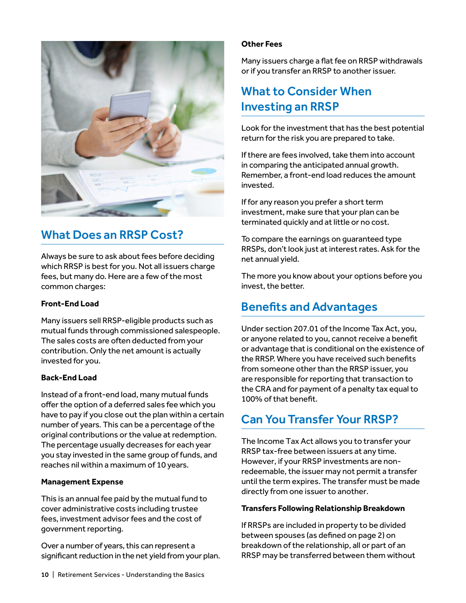

### What Does an RRSP Cost?

Always be sure to ask about fees before deciding which RRSP is best for you. Not all issuers charge fees, but many do. Here are a few of the most common charges:

#### **Front-End Load**

Many issuers sell RRSP-eligible products such as mutual funds through commissioned salespeople. The sales costs are often deducted from your contribution. Only the net amount is actually invested for you.

#### **Back-End Load**

Instead of a front-end load, many mutual funds offer the option of a deferred sales fee which you have to pay if you close out the plan within a certain number of years. This can be a percentage of the original contributions or the value at redemption. The percentage usually decreases for each year you stay invested in the same group of funds, and reaches nil within a maximum of 10 years.

#### **Management Expense**

This is an annual fee paid by the mutual fund to cover administrative costs including trustee fees, investment advisor fees and the cost of government reporting.

Over a number of years, this can represent a significant reduction in the net yield from your plan.

#### **Other Fees**

Many issuers charge a flat fee on RRSP withdrawals or if you transfer an RRSP to another issuer.

### What to Consider When Investing an RRSP

Look for the investment that has the best potential return for the risk you are prepared to take.

If there are fees involved, take them into account in comparing the anticipated annual growth. Remember, a front-end load reduces the amount invested.

If for any reason you prefer a short term investment, make sure that your plan can be terminated quickly and at little or no cost.

To compare the earnings on guaranteed type RRSPs, don't look just at interest rates. Ask for the net annual yield.

The more you know about your options before you invest, the better.

### Benefits and Advantages

Under section 207.01 of the Income Tax Act, you, or anyone related to you, cannot receive a benefit or advantage that is conditional on the existence of the RRSP. Where you have received such benefits from someone other than the RRSP issuer, you are responsible for reporting that transaction to the CRA and for payment of a penalty tax equal to 100% of that benefit.

### Can You Transfer Your RRSP?

The Income Tax Act allows you to transfer your RRSP tax-free between issuers at any time. However, if your RRSP investments are nonredeemable, the issuer may not permit a transfer until the term expires. The transfer must be made directly from one issuer to another.

#### **Transfers Following Relationship Breakdown**

If RRSPs are included in property to be divided between spouses (as defined on page 2) on breakdown of the relationship, all or part of an RRSP may be transferred between them without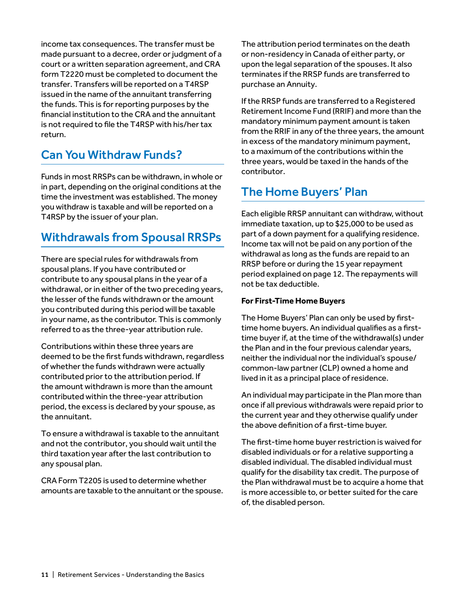income tax consequences. The transfer must be made pursuant to a decree, order or judgment of a court or a written separation agreement, and CRA form T2220 must be completed to document the transfer. Transfers will be reported on a T4RSP issued in the name of the annuitant transferring the funds. This is for reporting purposes by the financial institution to the CRA and the annuitant is not required to file the T4RSP with his/her tax return.

### Can You Withdraw Funds?

Funds in most RRSPs can be withdrawn, in whole or in part, depending on the original conditions at the time the investment was established. The money you withdraw is taxable and will be reported on a T4RSP by the issuer of your plan.

### Withdrawals from Spousal RRSPs

There are special rules for withdrawals from spousal plans. If you have contributed or contribute to any spousal plans in the year of a withdrawal, or in either of the two preceding years, the lesser of the funds withdrawn or the amount you contributed during this period will be taxable in your name, as the contributor. This is commonly referred to as the three-year attribution rule.

Contributions within these three years are deemed to be the first funds withdrawn, regardless of whether the funds withdrawn were actually contributed prior to the attribution period. If the amount withdrawn is more than the amount contributed within the three-year attribution period, the excess is declared by your spouse, as the annuitant.

To ensure a withdrawal is taxable to the annuitant and not the contributor, you should wait until the third taxation year after the last contribution to any spousal plan.

CRA Form T2205 is used to determine whether amounts are taxable to the annuitant or the spouse.

The attribution period terminates on the death or non-residency in Canada of either party, or upon the legal separation of the spouses. It also terminates if the RRSP funds are transferred to purchase an Annuity.

If the RRSP funds are transferred to a Registered Retirement Income Fund (RRIF) and more than the mandatory minimum payment amount is taken from the RRIF in any of the three years, the amount in excess of the mandatory minimum payment, to a maximum of the contributions within the three years, would be taxed in the hands of the contributor.

### The Home Buyers' Plan

Each eligible RRSP annuitant can withdraw, without immediate taxation, up to \$25,000 to be used as part of a down payment for a qualifying residence. Income tax will not be paid on any portion of the withdrawal as long as the funds are repaid to an RRSP before or during the 15 year repayment period explained on page 12. The repayments will not be tax deductible.

#### **For First-Time Home Buyers**

The Home Buyers' Plan can only be used by firsttime home buyers. An individual qualifies as a firsttime buyer if, at the time of the withdrawal(s) under the Plan and in the four previous calendar years, neither the individual nor the individual's spouse/ common-law partner (CLP) owned a home and lived in it as a principal place of residence.

An individual may participate in the Plan more than once if all previous withdrawals were repaid prior to the current year and they otherwise qualify under the above definition of a first-time buyer.

The first-time home buyer restriction is waived for disabled individuals or for a relative supporting a disabled individual. The disabled individual must qualify for the disability tax credit. The purpose of the Plan withdrawal must be to acquire a home that is more accessible to, or better suited for the care of, the disabled person.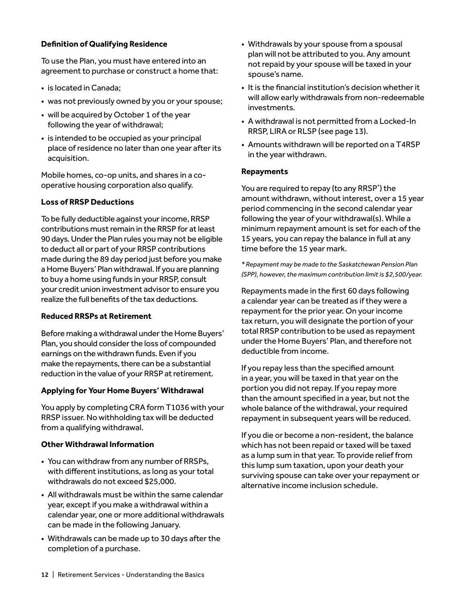#### **Definition of Qualifying Residence**

To use the Plan, you must have entered into an agreement to purchase or construct a home that:

- is located in Canada;
- was not previously owned by you or your spouse;
- will be acquired by October 1 of the year following the year of withdrawal;
- is intended to be occupied as your principal place of residence no later than one year after its acquisition.

Mobile homes, co-op units, and shares in a cooperative housing corporation also qualify.

#### **Loss of RRSP Deductions**

To be fully deductible against your income, RRSP contributions must remain in the RRSP for at least 90 days. Under the Plan rules you may not be eligible to deduct all or part of your RRSP contributions made during the 89 day period just before you make a Home Buyers' Plan withdrawal. If you are planning to buy a home using funds in your RRSP, consult your credit union investment advisor to ensure you realize the full benefits of the tax deductions.

#### **Reduced RRSPs at Retirement**

Before making a withdrawal under the Home Buyers' Plan, you should consider the loss of compounded earnings on the withdrawn funds. Even if you make the repayments, there can be a substantial reduction in the value of your RRSP at retirement.

#### **Applying for Your Home Buyers' Withdrawal**

You apply by completing CRA form T1036 with your RRSP issuer. No withholding tax will be deducted from a qualifying withdrawal.

#### **Other Withdrawal Information**

- You can withdraw from any number of RRSPs, with different institutions, as long as your total withdrawals do not exceed \$25,000.
- All withdrawals must be within the same calendar year, except if you make a withdrawal within a calendar year, one or more additional withdrawals can be made in the following January.
- Withdrawals can be made up to 30 days after the completion of a purchase.
- Withdrawals by your spouse from a spousal plan will not be attributed to you. Any amount not repaid by your spouse will be taxed in your spouse's name.
- It is the financial institution's decision whether it will allow early withdrawals from non-redeemable investments.
- A withdrawal is not permitted from a Locked-In RRSP, LIRA or RLSP (see page 13).
- Amounts withdrawn will be reported on a T4RSP in the year withdrawn.

#### **Repayments**

You are required to repay (to any RRSP\* ) the amount withdrawn, without interest, over a 15 year period commencing in the second calendar year following the year of your withdrawal(s). While a minimum repayment amount is set for each of the 15 years, you can repay the balance in full at any time before the 15 year mark.

*\* Repayment may be made to the Saskatchewan Pension Plan (SPP), however, the maximum contribution limit is \$2,500/year.*

Repayments made in the first 60 days following a calendar year can be treated as if they were a repayment for the prior year. On your income tax return, you will designate the portion of your total RRSP contribution to be used as repayment under the Home Buyers' Plan, and therefore not deductible from income.

If you repay less than the specified amount in a year, you will be taxed in that year on the portion you did not repay. If you repay more than the amount specified in a year, but not the whole balance of the withdrawal, your required repayment in subsequent years will be reduced.

If you die or become a non-resident, the balance which has not been repaid or taxed will be taxed as a lump sum in that year. To provide relief from this lump sum taxation, upon your death your surviving spouse can take over your repayment or alternative income inclusion schedule.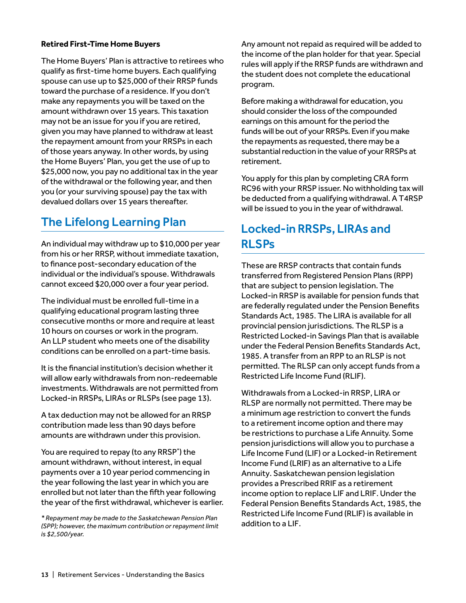#### **Retired First-Time Home Buyers**

The Home Buyers' Plan is attractive to retirees who qualify as first-time home buyers. Each qualifying spouse can use up to \$25,000 of their RRSP funds toward the purchase of a residence. If you don't make any repayments you will be taxed on the amount withdrawn over 15 years. This taxation may not be an issue for you if you are retired, given you may have planned to withdraw at least the repayment amount from your RRSPs in each of those years anyway. In other words, by using the Home Buyers' Plan, you get the use of up to \$25,000 now, you pay no additional tax in the year of the withdrawal or the following year, and then you (or your surviving spouse) pay the tax with devalued dollars over 15 years thereafter.

### The Lifelong Learning Plan

An individual may withdraw up to \$10,000 per year from his or her RRSP, without immediate taxation, to finance post-secondary education of the individual or the individual's spouse. Withdrawals cannot exceed \$20,000 over a four year period.

The individual must be enrolled full-time in a qualifying educational program lasting three consecutive months or more and require at least 10 hours on courses or work in the program. An LLP student who meets one of the disability conditions can be enrolled on a part-time basis.

It is the financial institution's decision whether it will allow early withdrawals from non-redeemable investments. Withdrawals are not permitted from Locked-in RRSPs, LIRAs or RLSPs (see page 13).

A tax deduction may not be allowed for an RRSP contribution made less than 90 days before amounts are withdrawn under this provision.

You are required to repay (to any RRSP\* ) the amount withdrawn, without interest, in equal payments over a 10 year period commencing in the year following the last year in which you are enrolled but not later than the fifth year following the year of the first withdrawal, whichever is earlier.

*\* Repayment may be made to the Saskatchewan Pension Plan (SPP); however, the maximum contribution or repayment limit is \$2,500/year.*

Any amount not repaid as required will be added to the income of the plan holder for that year. Special rules will apply if the RRSP funds are withdrawn and the student does not complete the educational program.

Before making a withdrawal for education, you should consider the loss of the compounded earnings on this amount for the period the funds will be out of your RRSPs. Even if you make the repayments as requested, there may be a substantial reduction in the value of your RRSPs at retirement.

You apply for this plan by completing CRA form RC96 with your RRSP issuer. No withholding tax will be deducted from a qualifying withdrawal. A T4RSP will be issued to you in the year of withdrawal.

### Locked-in RRSPs, LIRAs and RLSPs

These are RRSP contracts that contain funds transferred from Registered Pension Plans (RPP) that are subject to pension legislation. The Locked-in RRSP is available for pension funds that are federally regulated under the Pension Benefits Standards Act, 1985. The LIRA is available for all provincial pension jurisdictions. The RLSP is a Restricted Locked-in Savings Plan that is available under the Federal Pension Benefits Standards Act, 1985. A transfer from an RPP to an RLSP is not permitted. The RLSP can only accept funds from a Restricted Life Income Fund (RLIF).

Withdrawals from a Locked-in RRSP, LIRA or RLSP are normally not permitted. There may be a minimum age restriction to convert the funds to a retirement income option and there may be restrictions to purchase a Life Annuity. Some pension jurisdictions will allow you to purchase a Life Income Fund (LIF) or a Locked-in Retirement Income Fund (LRIF) as an alternative to a Life Annuity. Saskatchewan pension legislation provides a Prescribed RRIF as a retirement income option to replace LIF and LRIF. Under the Federal Pension Benefits Standards Act, 1985, the Restricted Life Income Fund (RLIF) is available in addition to a LIF.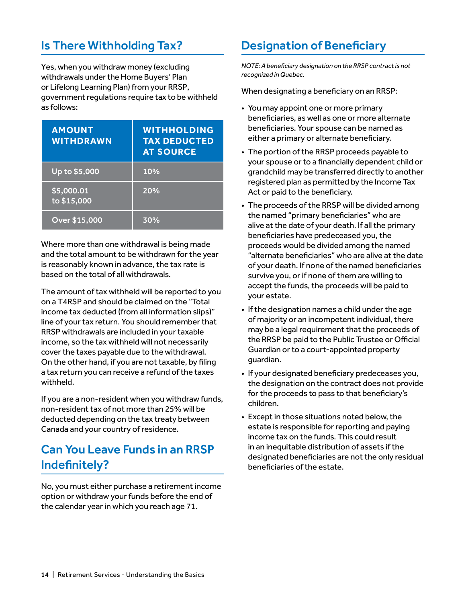### Is There Withholding Tax?

Yes, when you withdraw money (excluding withdrawals under the Home Buyers' Plan or Lifelong Learning Plan) from your RRSP, government regulations require tax to be withheld as follows:

| <b>AMOUNT</b><br><b>WITHDRAWN</b> | <b>WITHHOLDING</b><br><b>TAX DEDUCTED</b><br><b>AT SOURCE</b> |
|-----------------------------------|---------------------------------------------------------------|
| Up to \$5,000                     | 10%                                                           |
| \$5,000.01<br>to \$15,000         | 20%                                                           |
| Over \$15,000                     | 30%                                                           |

Where more than one withdrawal is being made and the total amount to be withdrawn for the year is reasonably known in advance, the tax rate is based on the total of all withdrawals.

The amount of tax withheld will be reported to you on a T4RSP and should be claimed on the "Total income tax deducted (from all information slips)" line of your tax return. You should remember that RRSP withdrawals are included in your taxable income, so the tax withheld will not necessarily cover the taxes payable due to the withdrawal. On the other hand, if you are not taxable, by filing a tax return you can receive a refund of the taxes withheld.

If you are a non-resident when you withdraw funds, non-resident tax of not more than 25% will be deducted depending on the tax treaty between Canada and your country of residence.

### Can You Leave Funds in an RRSP Indefinitely?

No, you must either purchase a retirement income option or withdraw your funds before the end of the calendar year in which you reach age 71.

### Designation of Beneficiary

*NOTE: A beneficiary designation on the RRSP contract is not recognized in Quebec.*

When designating a beneficiary on an RRSP:

- You may appoint one or more primary beneficiaries, as well as one or more alternate beneficiaries. Your spouse can be named as either a primary or alternate beneficiary.
- The portion of the RRSP proceeds payable to your spouse or to a financially dependent child or grandchild may be transferred directly to another registered plan as permitted by the Income Tax Act or paid to the beneficiary.
- The proceeds of the RRSP will be divided among the named "primary beneficiaries" who are alive at the date of your death. If all the primary beneficiaries have predeceased you, the proceeds would be divided among the named "alternate beneficiaries" who are alive at the date of your death. If none of the named beneficiaries survive you, or if none of them are willing to accept the funds, the proceeds will be paid to your estate.
- If the designation names a child under the age of majority or an incompetent individual, there may be a legal requirement that the proceeds of the RRSP be paid to the Public Trustee or Official Guardian or to a court-appointed property guardian.
- If your designated beneficiary predeceases you, the designation on the contract does not provide for the proceeds to pass to that beneficiary's children.
- Except in those situations noted below, the estate is responsible for reporting and paying income tax on the funds. This could result in an inequitable distribution of assets if the designated beneficiaries are not the only residual beneficiaries of the estate.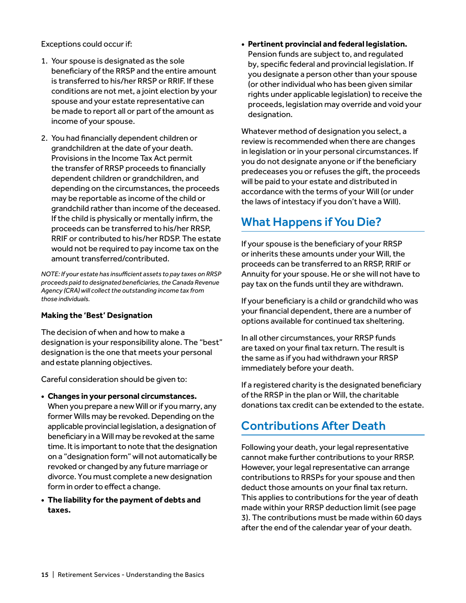Exceptions could occur if:

- 1. Your spouse is designated as the sole beneficiary of the RRSP and the entire amount is transferred to his/her RRSP or RRIF. If these conditions are not met, a joint election by your spouse and your estate representative can be made to report all or part of the amount as income of your spouse.
- 2. You had financially dependent children or grandchildren at the date of your death. Provisions in the Income Tax Act permit the transfer of RRSP proceeds to financially dependent children or grandchildren, and depending on the circumstances, the proceeds may be reportable as income of the child or grandchild rather than income of the deceased. If the child is physically or mentally infirm, the proceeds can be transferred to his/her RRSP, RRIF or contributed to his/her RDSP. The estate would not be required to pay income tax on the amount transferred/contributed.

*NOTE: If your estate has insufficient assets to pay taxes on RRSP proceeds paid to designated beneficiaries, the Canada Revenue Agency (CRA) will collect the outstanding income tax from those individuals.*

#### **Making the 'Best' Designation**

The decision of when and how to make a designation is your responsibility alone. The "best" designation is the one that meets your personal and estate planning objectives.

Careful consideration should be given to:

- **• Changes in your personal circumstances.** When you prepare a new Will or if you marry, any former Wills may be revoked. Depending on the applicable provincial legislation, a designation of beneficiary in a Will may be revoked at the same time. It is important to note that the designation on a "designation form" will not automatically be revoked or changed by any future marriage or divorce. You must complete a new designation form in order to effect a change.
- **• The liability for the payment of debts and taxes.**

**• Pertinent provincial and federal legislation.**  Pension funds are subject to, and regulated by, specific federal and provincial legislation. If you designate a person other than your spouse (or other individual who has been given similar rights under applicable legislation) to receive the proceeds, legislation may override and void your designation.

Whatever method of designation you select, a review is recommended when there are changes in legislation or in your personal circumstances. If you do not designate anyone or if the beneficiary predeceases you or refuses the gift, the proceeds will be paid to your estate and distributed in accordance with the terms of your Will (or under the laws of intestacy if you don't have a Will).

### What Happens if You Die?

If your spouse is the beneficiary of your RRSP or inherits these amounts under your Will, the proceeds can be transferred to an RRSP, RRIF or Annuity for your spouse. He or she will not have to pay tax on the funds until they are withdrawn.

If your beneficiary is a child or grandchild who was your financial dependent, there are a number of options available for continued tax sheltering.

In all other circumstances, your RRSP funds are taxed on your final tax return. The result is the same as if you had withdrawn your RRSP immediately before your death.

If a registered charity is the designated beneficiary of the RRSP in the plan or Will, the charitable donations tax credit can be extended to the estate.

### Contributions After Death

Following your death, your legal representative cannot make further contributions to your RRSP. However, your legal representative can arrange contributions to RRSPs for your spouse and then deduct those amounts on your final tax return. This applies to contributions for the year of death made within your RRSP deduction limit (see page 3). The contributions must be made within 60 days after the end of the calendar year of your death.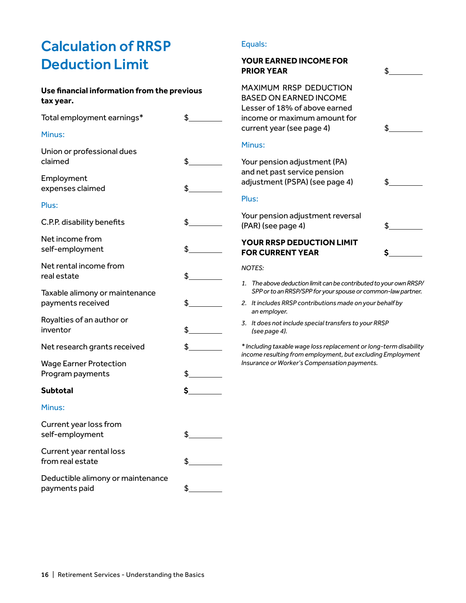# Calculation of RRSP Deduction Limit

#### **Use financial information from the previous tax year.**

| Total employment earnings*                          | $\frac{1}{2}$ |
|-----------------------------------------------------|---------------|
| Minus:                                              |               |
| Union or professional dues<br>claimed               | $\frac{1}{2}$ |
| Employment<br>expenses claimed                      | $\frac{1}{2}$ |
| Plus:                                               |               |
| C.P.P. disability benefits                          | $\frac{1}{2}$ |
| Net income from<br>self-employment                  | $\frac{1}{2}$ |
| Net rental income from<br>real estate               | $\frac{1}{2}$ |
| Taxable alimony or maintenance<br>payments received | $\frac{1}{2}$ |
| Royalties of an author or<br>inventor               | $\frac{1}{2}$ |
| Net research grants received                        | $\frac{1}{2}$ |
| <b>Wage Earner Protection</b><br>Program payments   | $\frac{1}{2}$ |
| <b>Subtotal</b>                                     | $\sim$        |
| Minus:                                              |               |
| Current year loss from<br>self-employment           | $\frac{1}{2}$ |
| Current year rental loss<br>from real estate        | $\frac{1}{2}$ |
| Deductible alimony or maintenance<br>payments paid  | $\frac{1}{2}$ |

#### Equals:

Plus:

### **YOUR EARNED INCOME FOR PRIOR YEAR \$** $\qquad \qquad$ MAXIMUM RRSP DEDUCTION BASED ON EARNED INCOME Lesser of 18% of above earned income or maximum amount for current year (see page 4) \$\_\_ Minus: Your pension adjustment (PA) and net past service pension adjustment (PSPA) (see page 4) \$ Your pension adjustment reversal  $(PAR)$  (see page 4)  $\qquad \qquad$  \$ **YOUR RRSP DEDUCTION LIMIT EOR CURRENT YEAR \$** *NOTES:*

- *1. The above deduction limit can be contributed to your own RRSP/ SPP or to an RRSP/SPP for your spouse or common-law partner.*
- *2. It includes RRSP contributions made on your behalf by an employer.*
- *3. It does not include special transfers to your RRSP (see page 4).*

*\* Including taxable wage loss replacement or long-term disability income resulting from employment, but excluding Employment Insurance or Worker's Compensation payments.*